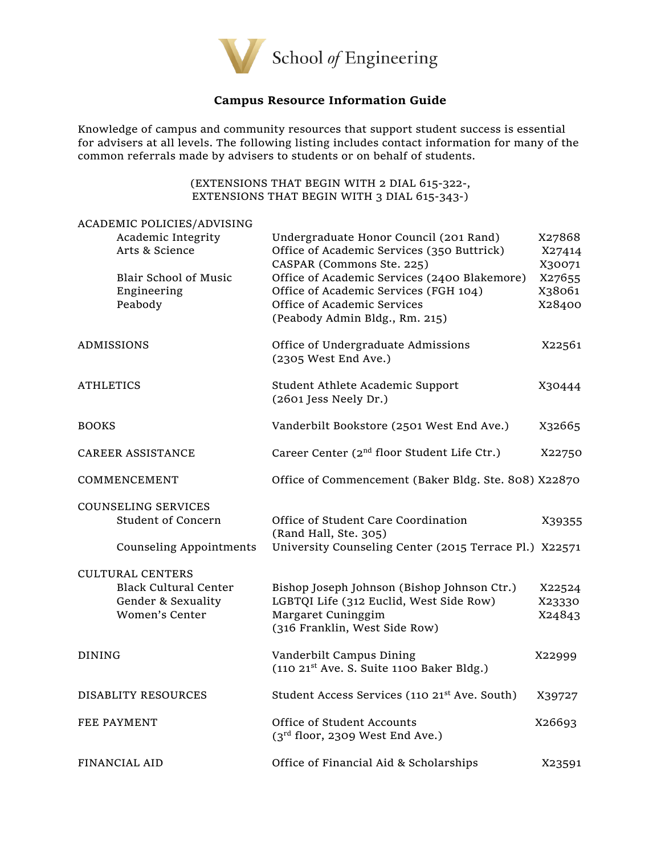

## **Campus Resource Information Guide**

Knowledge of campus and community resources that support student success is essential for advisers at all levels. The following listing includes contact information for many of the common referrals made by advisers to students or on behalf of students.

> (EXTENSIONS THAT BEGIN WITH 2 DIAL 615-322-, EXTENSIONS THAT BEGIN WITH 3 DIAL 615-343-)

| ACADEMIC POLICIES/ADVISING           |                                                                                                                   |                            |
|--------------------------------------|-------------------------------------------------------------------------------------------------------------------|----------------------------|
| Academic Integrity<br>Arts & Science | Undergraduate Honor Council (201 Rand)<br>Office of Academic Services (350 Buttrick)<br>CASPAR (Commons Ste. 225) | X27868<br>X27414<br>X30071 |
| <b>Blair School of Music</b>         | Office of Academic Services (2400 Blakemore)                                                                      | X27655                     |
| Engineering<br>Peabody               | Office of Academic Services (FGH 104)<br>Office of Academic Services                                              | X38061<br>X28400           |
|                                      | (Peabody Admin Bldg., Rm. 215)                                                                                    |                            |
| ADMISSIONS                           | Office of Undergraduate Admissions<br>(2305 West End Ave.)                                                        | X22561                     |
|                                      |                                                                                                                   |                            |
| <b>ATHLETICS</b>                     | Student Athlete Academic Support<br>(2601 Jess Neely Dr.)                                                         | X30444                     |
| <b>BOOKS</b>                         | Vanderbilt Bookstore (2501 West End Ave.)                                                                         | X32665                     |
| CAREER ASSISTANCE                    | Career Center (2 <sup>nd</sup> floor Student Life Ctr.)                                                           | X22750                     |
| COMMENCEMENT                         | Office of Commencement (Baker Bldg. Ste. 808) X22870                                                              |                            |
| <b>COUNSELING SERVICES</b>           |                                                                                                                   |                            |
| <b>Student of Concern</b>            | Office of Student Care Coordination<br>(Rand Hall, Ste. 305)                                                      | X39355                     |
| Counseling Appointments              | University Counseling Center (2015 Terrace Pl.) X22571                                                            |                            |
| <b>CULTURAL CENTERS</b>              |                                                                                                                   |                            |
| <b>Black Cultural Center</b>         | Bishop Joseph Johnson (Bishop Johnson Ctr.)                                                                       | X22524                     |
| Gender & Sexuality                   | LGBTQI Life (312 Euclid, West Side Row)                                                                           | X23330                     |
| Women's Center                       | Margaret Cuninggim<br>(316 Franklin, West Side Row)                                                               | X24843                     |
| <b>DINING</b>                        | Vanderbilt Campus Dining                                                                                          | X22999                     |
|                                      | (110 21st Ave. S. Suite 1100 Baker Bldg.)                                                                         |                            |
| DISABLITY RESOURCES                  | Student Access Services (110 21 <sup>st</sup> Ave. South)                                                         | X39727                     |
| FEE PAYMENT                          | Office of Student Accounts<br>$(3rd floor, 2309 West End Ave.)$                                                   | X26693                     |
|                                      |                                                                                                                   |                            |
|                                      | Office of Financial Aid & Scholarships                                                                            |                            |